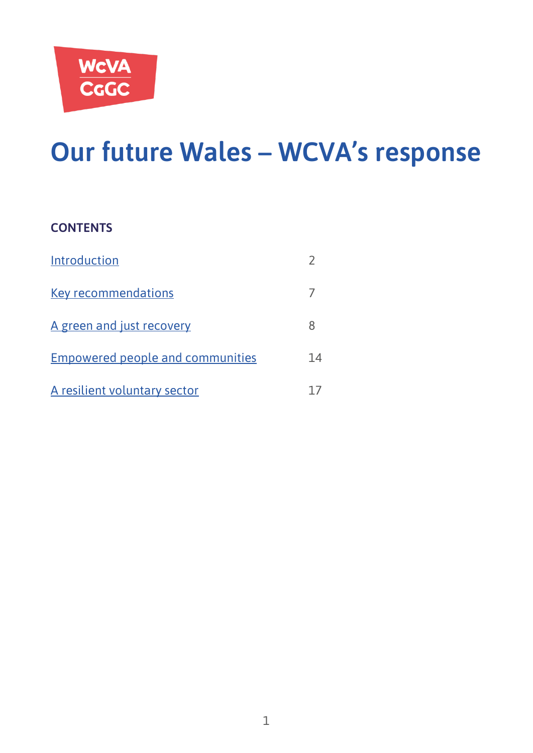

# **Our future Wales – WCVA's response**

#### **CONTENTS**

| Introduction                            |    |
|-----------------------------------------|----|
| <b>Key recommendations</b>              |    |
| A green and just recovery               |    |
| <b>Empowered people and communities</b> | 14 |
| A resilient voluntary sector            |    |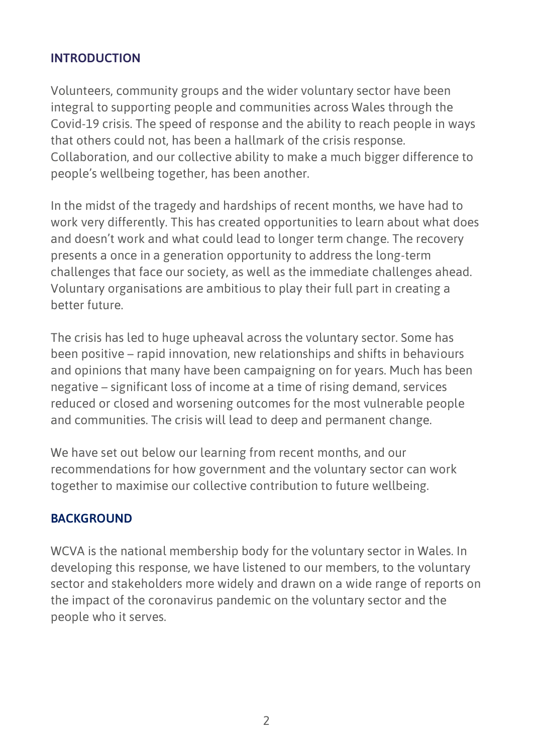#### <span id="page-1-0"></span>**INTRODUCTION**

Volunteers, community groups and the wider voluntary sector have been integral to supporting people and communities across Wales through the Covid-19 crisis. The speed of response and the ability to reach people in ways that others could not, has been a hallmark of the crisis response. Collaboration, and our collective ability to make a much bigger difference to people's wellbeing together, has been another.

In the midst of the tragedy and hardships of recent months, we have had to work very differently. This has created opportunities to learn about what does and doesn't work and what could lead to longer term change. The recovery presents a once in a generation opportunity to address the long-term challenges that face our society, as well as the immediate challenges ahead. Voluntary organisations are ambitious to play their full part in creating a better future.

The crisis has led to huge upheaval across the voluntary sector. Some has been positive – rapid innovation, new relationships and shifts in behaviours and opinions that many have been campaigning on for years. Much has been negative – significant loss of income at a time of rising demand, services reduced or closed and worsening outcomes for the most vulnerable people and communities. The crisis will lead to deep and permanent change.

We have set out below our learning from recent months, and our recommendations for how government and the voluntary sector can work together to maximise our collective contribution to future wellbeing.

#### **BACKGROUND**

WCVA is the national membership body for the voluntary sector in Wales. In developing this response, we have listened to our members, to the voluntary sector and stakeholders more widely and drawn on a wide range of reports on the impact of the coronavirus pandemic on the voluntary sector and the people who it serves.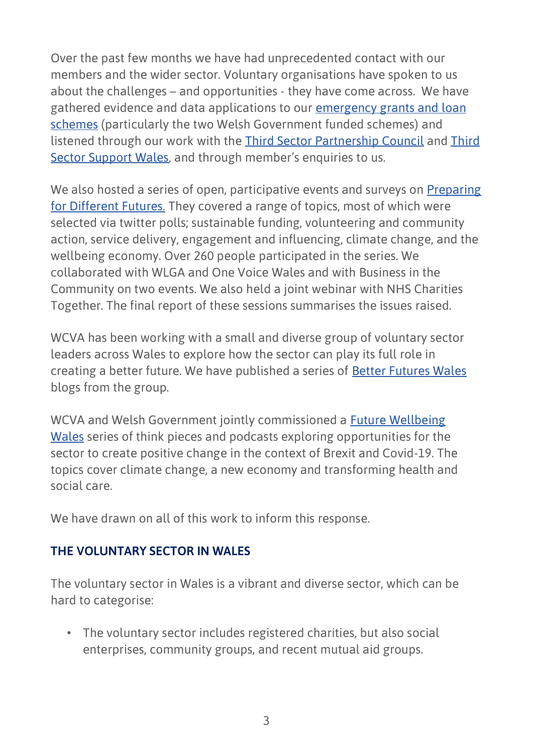Over the past few months we have had unprecedented contact with our members and the wider sector. Voluntary organisations have spoken to us about the challenges – and opportunities - they have come across. We have gathered evidence and data applications to our [emergency grants and loan](https://wcva.cymru/funding/)  [schemes](https://wcva.cymru/funding/) (particularly the two Welsh Government funded schemes) and listened through our work with the [Third Sector Partnership Council](https://gov.wales/third-sector-partnership-council) and [Third](https://thirdsectorsupport.wales/)  [Sector Support Wales](https://thirdsectorsupport.wales/), and through member's enquiries to us.

We also hosted a series of open, participative events and surveys on [Preparing](https://wcva.cymru/influencing-a-positive-future/)  [for Different Futures.](https://wcva.cymru/influencing-a-positive-future/) They covered a range of topics, most of which were selected via twitter polls; sustainable funding, volunteering and community action, service delivery, engagement and influencing, climate change, and the wellbeing economy. Over 260 people participated in the series. We collaborated with WLGA and One Voice Wales and with Business in the Community on two events. We also held a joint webinar with NHS Charities Together. The final report of these sessions summarises the issues raised.

WCVA has been working with a small and diverse group of voluntary sector leaders across Wales to explore how the sector can play its full role in creating a better future. We have published a series of [Better Futures Wales](https://wcva.cymru/influencing-a-positive-future/) blogs from the group.

WCVA and Welsh Government jointly commissioned a [Future Wellbeing](https://wcva.cymru/influencing/brexit/)  [Wales](https://wcva.cymru/influencing/brexit/) series of think pieces and podcasts exploring opportunities for the sector to create positive change in the context of Brexit and Covid-19. The topics cover climate change, a new economy and transforming health and social care.

We have drawn on all of this work to inform this response.

#### **THE VOLUNTARY SECTOR IN WALES**

The voluntary sector in Wales is a vibrant and diverse sector, which can be hard to categorise:

• The voluntary sector includes registered charities, but also social enterprises, community groups, and recent mutual aid groups.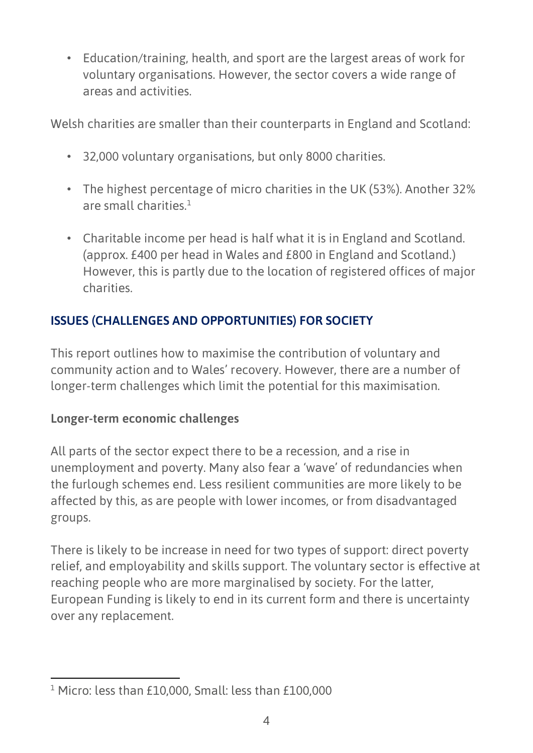• Education/training, health, and sport are the largest areas of work for voluntary organisations. However, the sector covers a wide range of areas and activities.

Welsh charities are smaller than their counterparts in England and Scotland:

- 32,000 voluntary organisations, but only 8000 charities.
- The highest percentage of micro charities in the UK (53%). Another 32% are small charities  $1$
- Charitable income per head is half what it is in England and Scotland. (approx. £400 per head in Wales and £800 in England and Scotland.) However, this is partly due to the location of registered offices of major charities.

# **ISSUES (CHALLENGES AND OPPORTUNITIES) FOR SOCIETY**

This report outlines how to maximise the contribution of voluntary and community action and to Wales' recovery. However, there are a number of longer-term challenges which limit the potential for this maximisation.

## **Longer-term economic challenges**

All parts of the sector expect there to be a recession, and a rise in unemployment and poverty. Many also fear a 'wave' of redundancies when the furlough schemes end. Less resilient communities are more likely to be affected by this, as are people with lower incomes, or from disadvantaged groups.

There is likely to be increase in need for two types of support: direct poverty relief, and employability and skills support. The voluntary sector is effective at reaching people who are more marginalised by society. For the latter, European Funding is likely to end in its current form and there is uncertainty over any replacement.

<sup>1</sup> Micro: less than £10,000, Small: less than £100,000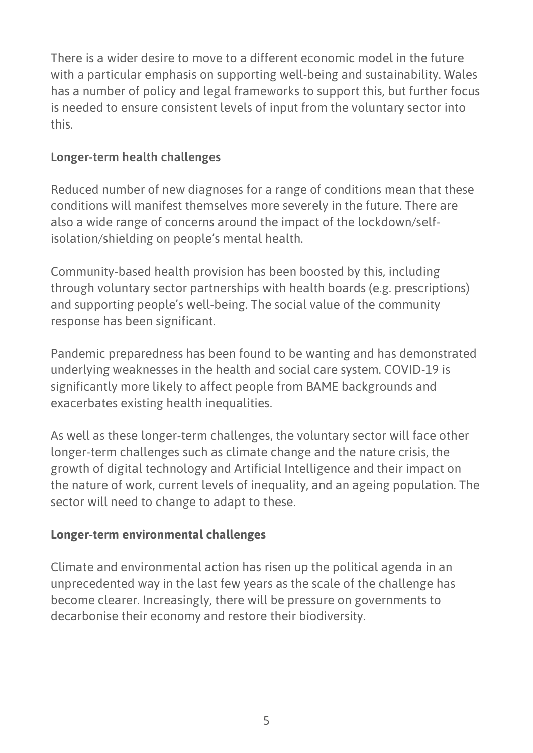There is a wider desire to move to a different economic model in the future with a particular emphasis on supporting well-being and sustainability. Wales has a number of policy and legal frameworks to support this, but further focus is needed to ensure consistent levels of input from the voluntary sector into this.

## **Longer-term health challenges**

Reduced number of new diagnoses for a range of conditions mean that these conditions will manifest themselves more severely in the future. There are also a wide range of concerns around the impact of the lockdown/selfisolation/shielding on people's mental health.

Community-based health provision has been boosted by this, including through voluntary sector partnerships with health boards (e.g. prescriptions) and supporting people's well-being. The social value of the community response has been significant.

Pandemic preparedness has been found to be wanting and has demonstrated underlying weaknesses in the health and social care system. COVID-19 is significantly more likely to affect people from BAME backgrounds and exacerbates existing health inequalities.

As well as these longer-term challenges, the voluntary sector will face other longer-term challenges such as climate change and the nature crisis, the growth of digital technology and Artificial Intelligence and their impact on the nature of work, current levels of inequality, and an ageing population. The sector will need to change to adapt to these.

## **Longer-term environmental challenges**

Climate and environmental action has risen up the political agenda in an unprecedented way in the last few years as the scale of the challenge has become clearer. Increasingly, there will be pressure on governments to decarbonise their economy and restore their biodiversity.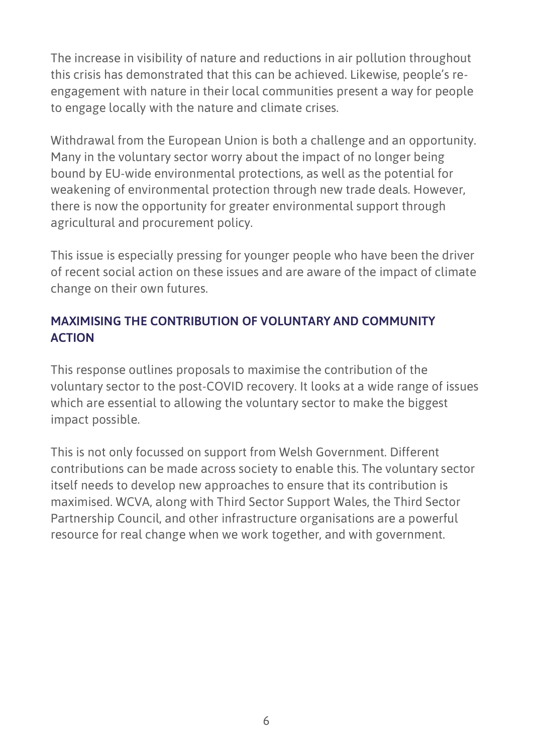The increase in visibility of nature and reductions in air pollution throughout this crisis has demonstrated that this can be achieved. Likewise, people's reengagement with nature in their local communities present a way for people to engage locally with the nature and climate crises.

Withdrawal from the European Union is both a challenge and an opportunity. Many in the voluntary sector worry about the impact of no longer being bound by EU-wide environmental protections, as well as the potential for weakening of environmental protection through new trade deals. However, there is now the opportunity for greater environmental support through agricultural and procurement policy.

This issue is especially pressing for younger people who have been the driver of recent social action on these issues and are aware of the impact of climate change on their own futures.

## **MAXIMISING THE CONTRIBUTION OF VOLUNTARY AND COMMUNITY ACTION**

This response outlines proposals to maximise the contribution of the voluntary sector to the post-COVID recovery. It looks at a wide range of issues which are essential to allowing the voluntary sector to make the biggest impact possible.

This is not only focussed on support from Welsh Government. Different contributions can be made across society to enable this. The voluntary sector itself needs to develop new approaches to ensure that its contribution is maximised. WCVA, along with Third Sector Support Wales, the Third Sector Partnership Council, and other infrastructure organisations are a powerful resource for real change when we work together, and with government.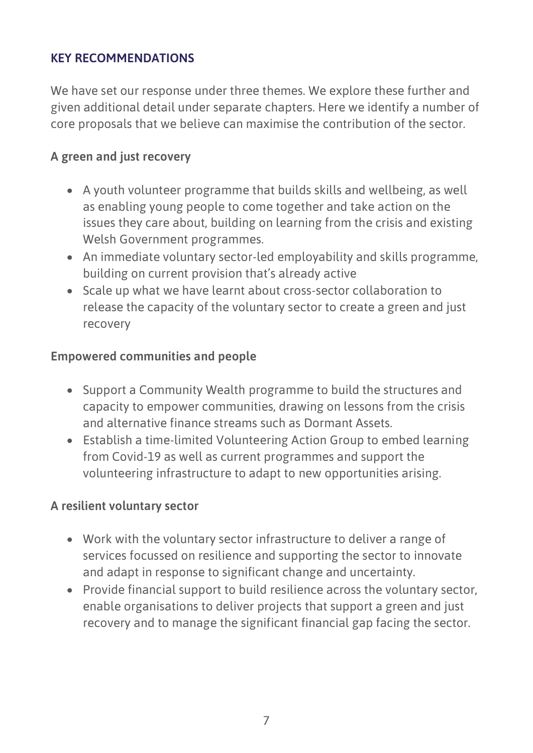#### <span id="page-6-0"></span>**KEY RECOMMENDATIONS**

We have set our response under three themes. We explore these further and given additional detail under separate chapters. Here we identify a number of core proposals that we believe can maximise the contribution of the sector.

## **A green and just recovery**

- A youth volunteer programme that builds skills and wellbeing, as well as enabling young people to come together and take action on the issues they care about, building on learning from the crisis and existing Welsh Government programmes.
- An immediate voluntary sector-led employability and skills programme, building on current provision that's already active
- Scale up what we have learnt about cross-sector collaboration to release the capacity of the voluntary sector to create a green and just recovery

#### **Empowered communities and people**

- Support a Community Wealth programme to build the structures and capacity to empower communities, drawing on lessons from the crisis and alternative finance streams such as Dormant Assets.
- Establish a time-limited Volunteering Action Group to embed learning from Covid-19 as well as current programmes and support the volunteering infrastructure to adapt to new opportunities arising.

#### **A resilient voluntary sector**

- Work with the voluntary sector infrastructure to deliver a range of services focussed on resilience and supporting the sector to innovate and adapt in response to significant change and uncertainty.
- Provide financial support to build resilience across the voluntary sector, enable organisations to deliver projects that support a green and just recovery and to manage the significant financial gap facing the sector.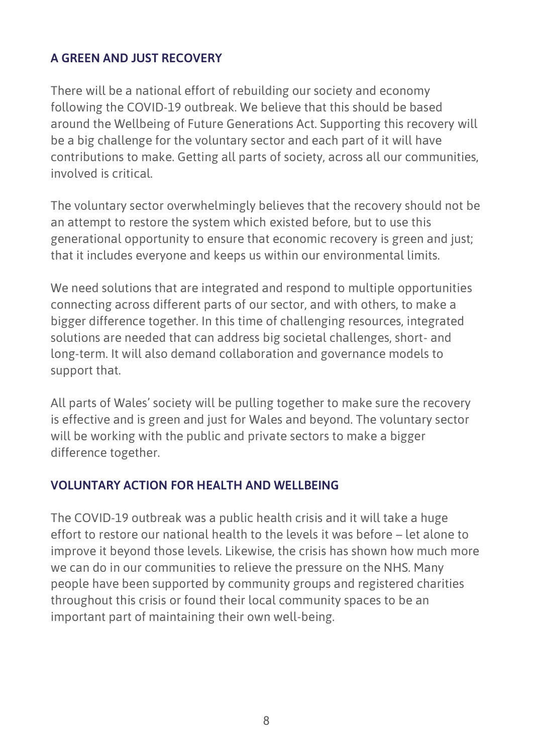## <span id="page-7-0"></span>**A GREEN AND JUST RECOVERY**

There will be a national effort of rebuilding our society and economy following the COVID-19 outbreak. We believe that this should be based around the Wellbeing of Future Generations Act. Supporting this recovery will be a big challenge for the voluntary sector and each part of it will have contributions to make. Getting all parts of society, across all our communities, involved is critical.

The voluntary sector overwhelmingly believes that the recovery should not be an attempt to restore the system which existed before, but to use this generational opportunity to ensure that economic recovery is green and just; that it includes everyone and keeps us within our environmental limits.

We need solutions that are integrated and respond to multiple opportunities connecting across different parts of our sector, and with others, to make a bigger difference together. In this time of challenging resources, integrated solutions are needed that can address big societal challenges, short- and long-term. It will also demand collaboration and governance models to support that.

All parts of Wales' society will be pulling together to make sure the recovery is effective and is green and just for Wales and beyond. The voluntary sector will be working with the public and private sectors to make a bigger difference together.

#### **VOLUNTARY ACTION FOR HEALTH AND WELLBEING**

The COVID-19 outbreak was a public health crisis and it will take a huge effort to restore our national health to the levels it was before – let alone to improve it beyond those levels. Likewise, the crisis has shown how much more we can do in our communities to relieve the pressure on the NHS. Many people have been supported by community groups and registered charities throughout this crisis or found their local community spaces to be an important part of maintaining their own well-being.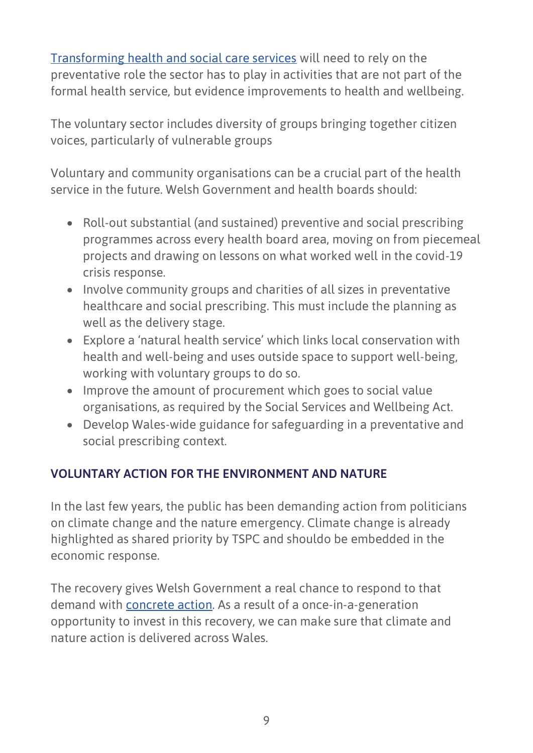[Transforming health and social care services](https://wcva.cymru/wp-content/uploads/2020/06/TRANSFORMING-HEALTH-AND-SOCIAL-CARE-SERVICES-CLOSE-TO-HOME.pdf) will need to rely on the preventative role the sector has to play in activities that are not part of the formal health service, but evidence improvements to health and wellbeing.

The voluntary sector includes diversity of groups bringing together citizen voices, particularly of vulnerable groups

Voluntary and community organisations can be a crucial part of the health service in the future. Welsh Government and health boards should:

- Roll-out substantial (and sustained) preventive and social prescribing programmes across every health board area, moving on from piecemeal projects and drawing on lessons on what worked well in the covid-19 crisis response.
- Involve community groups and charities of all sizes in preventative healthcare and social prescribing. This must include the planning as well as the delivery stage.
- Explore a 'natural health service' which links local conservation with health and well-being and uses outside space to support well-being, working with voluntary groups to do so.
- Improve the amount of procurement which goes to social value organisations, as required by the Social Services and Wellbeing Act.
- Develop Wales-wide guidance for safeguarding in a preventative and social prescribing context.

## **VOLUNTARY ACTION FOR THE ENVIRONMENT AND NATURE**

In the last few years, the public has been demanding action from politicians on climate change and the nature emergency. Climate change is already highlighted as shared priority by TSPC and shouldo be embedded in the economic response.

The recovery gives Welsh Government a real chance to respond to that demand with [concrete action.](https://wcva.cymru/wp-content/uploads/2020/06/Responding-to-the-Climate-Crisis__.pdf) As a result of a once-in-a-generation opportunity to invest in this recovery, we can make sure that climate and nature action is delivered across Wales.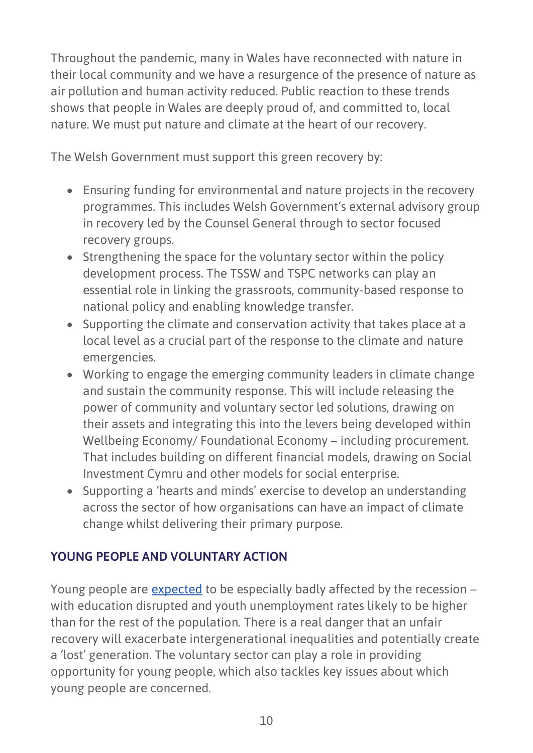Throughout the pandemic, many in Wales have reconnected with nature in their local community and we have a resurgence of the presence of nature as air pollution and human activity reduced. Public reaction to these trends shows that people in Wales are deeply proud of, and committed to, local nature. We must put nature and climate at the heart of our recovery.

The Welsh Government must support this green recovery by:

- Ensuring funding for environmental and nature projects in the recovery programmes. This includes Welsh Government's external advisory group in recovery led by the Counsel General through to sector focused recovery groups.
- Strengthening the space for the voluntary sector within the policy development process. The TSSW and TSPC networks can play an essential role in linking the grassroots, community-based response to national policy and enabling knowledge transfer.
- Supporting the climate and conservation activity that takes place at a local level as a crucial part of the response to the climate and nature emergencies.
- Working to engage the emerging community leaders in climate change and sustain the community response. This will include releasing the power of community and voluntary sector led solutions, drawing on their assets and integrating this into the levers being developed within Wellbeing Economy/ Foundational Economy – including procurement. That includes building on different financial models, drawing on Social Investment Cymru and other models for social enterprise.
- Supporting a 'hearts and minds' exercise to develop an understanding across the sector of how organisations can have an impact of climate change whilst delivering their primary purpose.

## **YOUNG PEOPLE AND VOLUNTARY ACTION**

Young people are [expected](https://www.wcpp.org.uk/wp-content/uploads/2020/07/Planning-for-a-Prosperous-Equal-and-Green-Recovery-from-the-Coronavirus-pandemic.pdf) to be especially badly affected by the recession – with education disrupted and youth unemployment rates likely to be higher than for the rest of the population. There is a real danger that an unfair recovery will exacerbate intergenerational inequalities and potentially create a 'lost' generation. The voluntary sector can play a role in providing opportunity for young people, which also tackles key issues about which young people are concerned.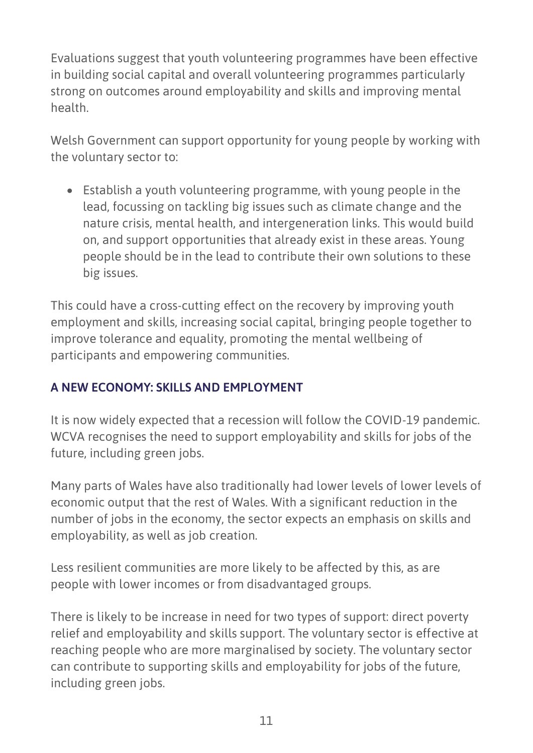Evaluations suggest that youth volunteering programmes have been effective in building social capital and overall volunteering programmes particularly strong on outcomes around employability and skills and improving mental health.

Welsh Government can support opportunity for young people by working with the voluntary sector to:

• Establish a youth volunteering programme, with young people in the lead, focussing on tackling big issues such as climate change and the nature crisis, mental health, and intergeneration links. This would build on, and support opportunities that already exist in these areas. Young people should be in the lead to contribute their own solutions to these big issues.

This could have a cross-cutting effect on the recovery by improving youth employment and skills, increasing social capital, bringing people together to improve tolerance and equality, promoting the mental wellbeing of participants and empowering communities.

## **A NEW ECONOMY: SKILLS AND EMPLOYMENT**

It is now widely expected that a recession will follow the COVID-19 pandemic. WCVA recognises the need to support employability and skills for jobs of the future, including green jobs.

Many parts of Wales have also traditionally had lower levels of lower levels of economic output that the rest of Wales. With a significant reduction in the number of jobs in the economy, the sector expects an emphasis on skills and employability, as well as job creation.

Less resilient communities are more likely to be affected by this, as are people with lower incomes or from disadvantaged groups.

There is likely to be increase in need for two types of support: direct poverty relief and employability and skills support. The voluntary sector is effective at reaching people who are more marginalised by society. The voluntary sector can contribute to supporting skills and employability for jobs of the future, including green jobs.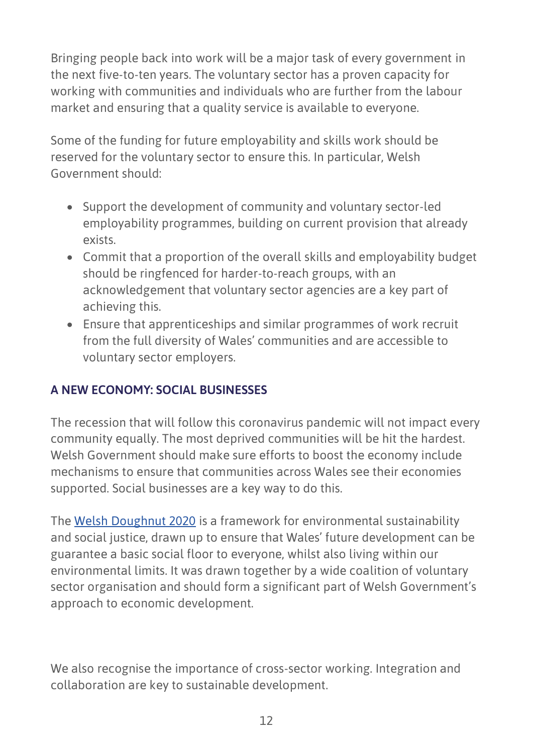Bringing people back into work will be a major task of every government in the next five-to-ten years. The voluntary sector has a proven capacity for working with communities and individuals who are further from the labour market and ensuring that a quality service is available to everyone.

Some of the funding for future employability and skills work should be reserved for the voluntary sector to ensure this. In particular, Welsh Government should:

- Support the development of community and voluntary sector-led employability programmes, building on current provision that already exists.
- Commit that a proportion of the overall skills and employability budget should be ringfenced for harder-to-reach groups, with an acknowledgement that voluntary sector agencies are a key part of achieving this.
- Ensure that apprenticeships and similar programmes of work recruit from the full diversity of Wales' communities and are accessible to voluntary sector employers.

## **A NEW ECONOMY: SOCIAL BUSINESSES**

The recession that will follow this coronavirus pandemic will not impact every community equally. The most deprived communities will be hit the hardest. Welsh Government should make sure efforts to boost the economy include mechanisms to ensure that communities across Wales see their economies supported. Social businesses are a key way to do this.

The [Welsh Doughnut 2020](https://oxfamilibrary.openrepository.com/bitstream/handle/10546/620979/rr-welsh-doughnut-2020-sustainability-social-justice-010320-en.pdf?sequence=1) is a framework for environmental sustainability and social justice, drawn up to ensure that Wales' future development can be guarantee a basic social floor to everyone, whilst also living within our environmental limits. It was drawn together by a wide coalition of voluntary sector organisation and should form a significant part of Welsh Government's approach to economic development.

We also recognise the importance of cross-sector working. Integration and collaboration are key to sustainable development.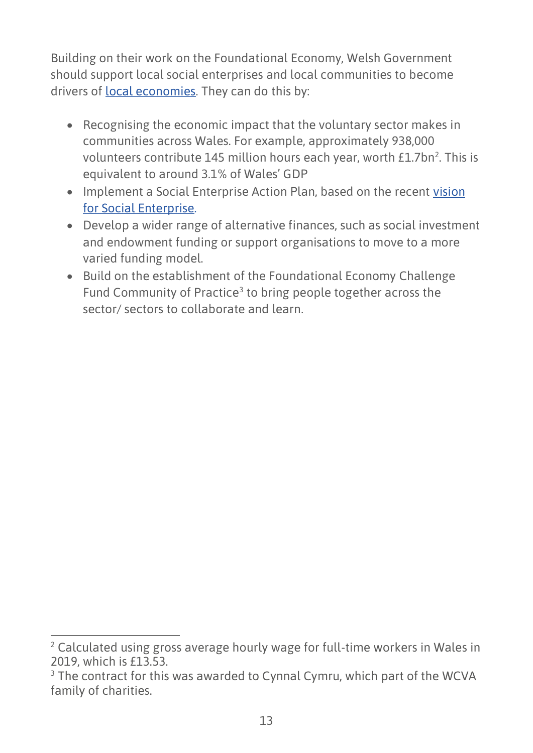Building on their work on the Foundational Economy, Welsh Government should support local social enterprises and local communities to become drivers of [local economies.](https://wcva.cymru/wp-content/uploads/2020/06/The-role-of-the-voluntary-sector-in-shaping-a-new-economy-for-Wales.pdf) They can do this by:

- Recognising the economic impact that the voluntary sector makes in communities across Wales. For example, approximately 938,000 volunteers contribute 145 million hours each year, worth £1.7bn<sup>2</sup>. This is equivalent to around 3.1% of Wales' GDP
- Implement a Social Enterprise Action Plan, based on the recent vision [for Social Enterprise.](https://wales.coop/wp-content/uploads/2020/07/SOCIAL-ENTERPRISE-WALES-10-YEAR-VISION-AND-ACTION-PLAN_JULY-2020.pdf)
- Develop a wider range of alternative finances, such as social investment and endowment funding or support organisations to move to a more varied funding model.
- Build on the establishment of the Foundational Economy Challenge Fund Community of Practice<sup>3</sup> to bring people together across the sector/ sectors to collaborate and learn.

<sup>&</sup>lt;sup>2</sup> Calculated using gross average hourly wage for full-time workers in Wales in 2019, which is £13.53.

<sup>&</sup>lt;sup>3</sup> The contract for this was awarded to Cynnal Cymru, which part of the WCVA family of charities.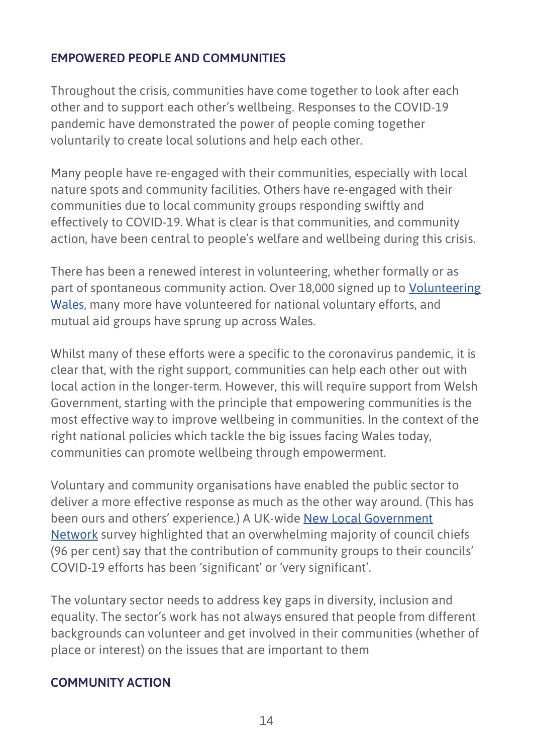#### <span id="page-13-0"></span>**EMPOWERED PEOPLE AND COMMUNITIES**

Throughout the crisis, communities have come together to look after each other and to support each other's wellbeing. Responses to the COVID-19 pandemic have demonstrated the power of people coming together voluntarily to create local solutions and help each other.

Many people have re-engaged with their communities, especially with local nature spots and community facilities. Others have re-engaged with their communities due to local community groups responding swiftly and effectively to COVID-19. What is clear is that communities, and community action, have been central to people's welfare and wellbeing during this crisis.

There has been a renewed interest in volunteering, whether formally or as part of spontaneous community action. Over 18,000 signed up to [Volunteering](https://volunteering-wales.net/vk/volunteers/index-covid.htm)  [Wales,](https://volunteering-wales.net/vk/volunteers/index-covid.htm) many more have volunteered for national voluntary efforts, and mutual aid groups have sprung up across Wales.

Whilst many of these efforts were a specific to the coronavirus pandemic, it is clear that, with the right support, communities can help each other out with local action in the longer-term. However, this will require support from Welsh Government, starting with the principle that empowering communities is the most effective way to improve wellbeing in communities. In the context of the right national policies which tackle the big issues facing Wales today, communities can promote wellbeing through empowerment.

Voluntary and community organisations have enabled the public sector to deliver a more effective response as much as the other way around. (This has been ours and others' experience.) A UK-wide [New Local Government](http://www.nlgn.org.uk/public/2020/confidence-in-the-time-of-covid-19-three-take-aways-from-nlgns-latest-leadership-index-survey/)  [Network](http://www.nlgn.org.uk/public/2020/confidence-in-the-time-of-covid-19-three-take-aways-from-nlgns-latest-leadership-index-survey/) survey highlighted that an overwhelming majority of council chiefs (96 per cent) say that the contribution of community groups to their councils' COVID-19 efforts has been 'significant' or 'very significant'.

The voluntary sector needs to address key gaps in diversity, inclusion and equality. The sector's work has not always ensured that people from different backgrounds can volunteer and get involved in their communities (whether of place or interest) on the issues that are important to them

#### **COMMUNITY ACTION**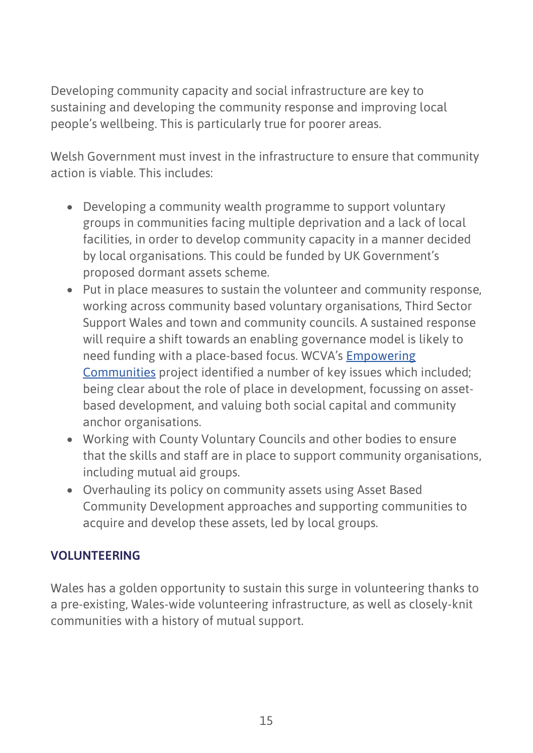Developing community capacity and social infrastructure are key to sustaining and developing the community response and improving local people's wellbeing. This is particularly true for poorer areas.

Welsh Government must invest in the infrastructure to ensure that community action is viable. This includes:

- Developing a community wealth programme to support voluntary groups in communities facing multiple deprivation and a lack of local facilities, in order to develop community capacity in a manner decided by local organisations. This could be funded by UK Government's proposed dormant assets scheme.
- Put in place measures to sustain the volunteer and community response, working across community based voluntary organisations, Third Sector Support Wales and town and community councils. A sustained response will require a shift towards an enabling governance model is likely to need funding with a place-based focus. WCVA's [Empowering](https://wcva.cymru/wp-content/uploads/2020/01/Empowering-Communities-Grymuso-Cymunedau.pdf)  [Communities](https://wcva.cymru/wp-content/uploads/2020/01/Empowering-Communities-Grymuso-Cymunedau.pdf) project identified a number of key issues which included; being clear about the role of place in development, focussing on assetbased development, and valuing both social capital and community anchor organisations.
- Working with County Voluntary Councils and other bodies to ensure that the skills and staff are in place to support community organisations, including mutual aid groups.
- Overhauling its policy on community assets using Asset Based Community Development approaches and supporting communities to acquire and develop these assets, led by local groups.

## **VOLUNTEERING**

Wales has a golden opportunity to sustain this surge in volunteering thanks to a pre-existing, Wales-wide volunteering infrastructure, as well as closely-knit communities with a history of mutual support.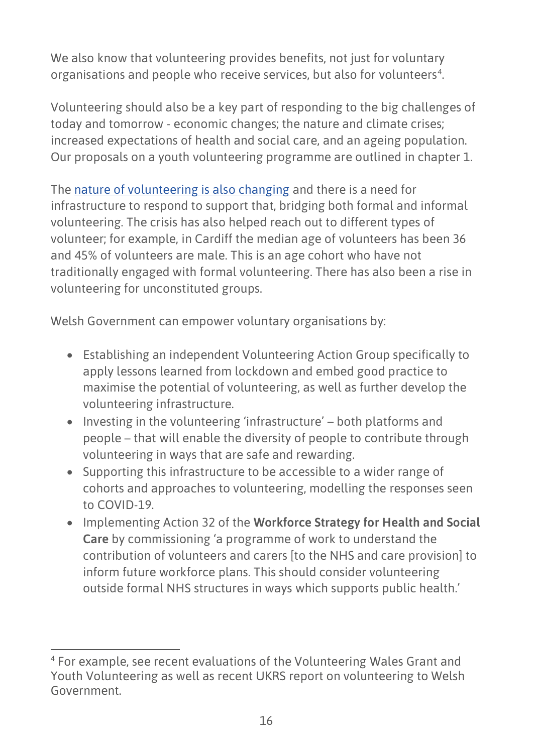We also know that volunteering provides benefits, not just for voluntary organisations and people who receive services, but also for volunteers<sup>4</sup>.

Volunteering should also be a key part of responding to the big challenges of today and tomorrow - economic changes; the nature and climate crises; increased expectations of health and social care, and an ageing population. Our proposals on a youth volunteering programme are outlined in chapter 1.

The [nature of volunteering is also changing](https://wcva.cymru/wp-content/uploads/2020/06/Preparing-for-different-futures-building-on-the-community-response-and-volunteering.pdf) and there is a need for infrastructure to respond to support that, bridging both formal and informal volunteering. The crisis has also helped reach out to different types of volunteer; for example, in Cardiff the median age of volunteers has been 36 and 45% of volunteers are male. This is an age cohort who have not traditionally engaged with formal volunteering. There has also been a rise in volunteering for unconstituted groups.

Welsh Government can empower voluntary organisations by:

- Establishing an independent Volunteering Action Group specifically to apply lessons learned from lockdown and embed good practice to maximise the potential of volunteering, as well as further develop the volunteering infrastructure.
- Investing in the volunteering 'infrastructure' both platforms and people – that will enable the diversity of people to contribute through volunteering in ways that are safe and rewarding.
- Supporting this infrastructure to be accessible to a wider range of cohorts and approaches to volunteering, modelling the responses seen to COVID-19.
- <span id="page-15-0"></span>• Implementing Action 32 of the **Workforce Strategy for Health and Social Care** by commissioning 'a programme of work to understand the contribution of volunteers and carers [to the NHS and care provision] to inform future workforce plans. This should consider volunteering outside formal NHS structures in ways which supports public health.'

<sup>4</sup> For example, see recent evaluations of the Volunteering Wales Grant and Youth Volunteering as well as recent UKRS report on volunteering to Welsh Government.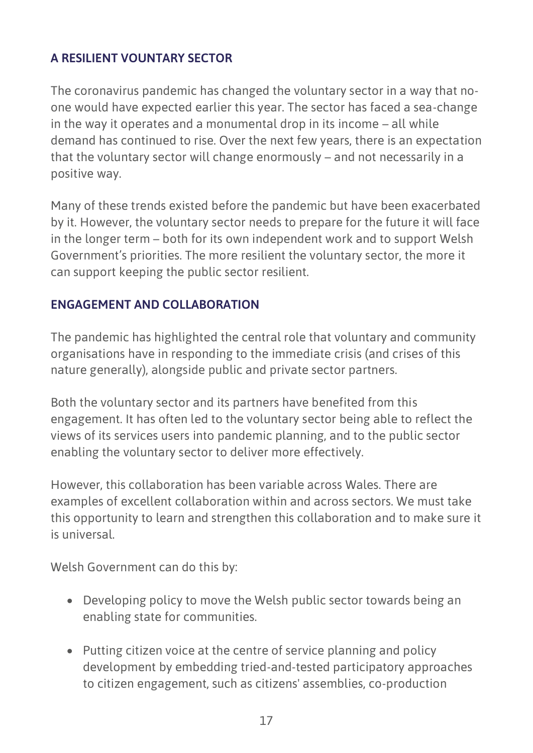## **A RESILIENT VOUNTARY SECTOR**

The coronavirus pandemic has changed the voluntary sector in a way that noone would have expected earlier this year. The sector has faced a sea-change in the way it operates and a monumental drop in its income – all while demand has continued to rise. Over the next few years, there is an expectation that the voluntary sector will change enormously – and not necessarily in a positive way.

Many of these trends existed before the pandemic but have been exacerbated by it. However, the voluntary sector needs to prepare for the future it will face in the longer term – both for its own independent work and to support Welsh Government's priorities. The more resilient the voluntary sector, the more it can support keeping the public sector resilient.

#### **ENGAGEMENT AND COLLABORATION**

The pandemic has highlighted the central role that voluntary and community organisations have in responding to the immediate crisis (and crises of this nature generally), alongside public and private sector partners.

Both the voluntary sector and its partners have benefited from this engagement. It has often led to the voluntary sector being able to reflect the views of its services users into pandemic planning, and to the public sector enabling the voluntary sector to deliver more effectively.

However, this collaboration has been variable across Wales. There are examples of excellent collaboration within and across sectors. We must take this opportunity to learn and strengthen this collaboration and to make sure it is universal.

Welsh Government can do this by:

- Developing policy to move the Welsh public sector towards being an enabling state for communities.
- Putting citizen voice at the centre of service planning and policy development by embedding tried-and-tested participatory approaches to citizen engagement, such as citizens' assemblies, co-production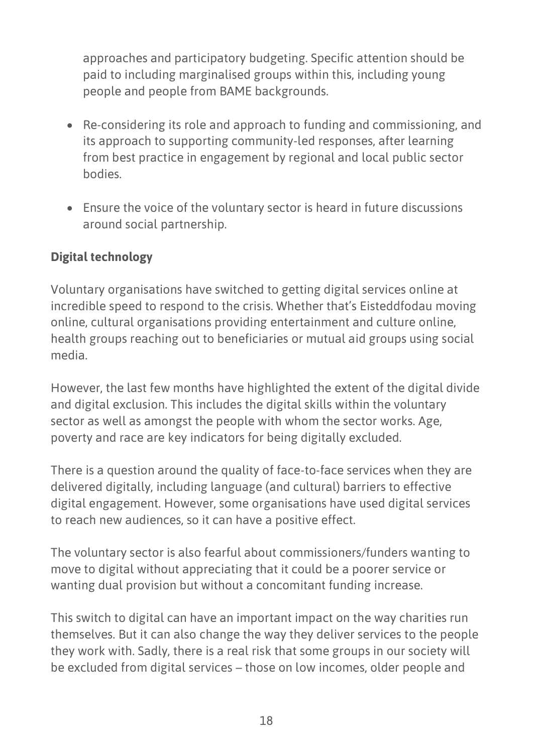approaches and participatory budgeting. Specific attention should be paid to including marginalised groups within this, including young people and people from BAME backgrounds.

- Re-considering its role and approach to funding and commissioning, and its approach to supporting community-led responses, after learning from best practice in engagement by regional and local public sector bodies.
- Ensure the voice of the voluntary sector is heard in future discussions around social partnership.

## **Digital technology**

Voluntary organisations have switched to getting digital services online at incredible speed to respond to the crisis. Whether that's Eisteddfodau moving online, cultural organisations providing entertainment and culture online, health groups reaching out to beneficiaries or mutual aid groups using social media.

However, the last few months have highlighted the extent of the digital divide and digital exclusion. This includes the digital skills within the voluntary sector as well as amongst the people with whom the sector works. Age, poverty and race are key indicators for being digitally excluded.

There is a question around the quality of face-to-face services when they are delivered digitally, including language (and cultural) barriers to effective digital engagement. However, some organisations have used digital services to reach new audiences, so it can have a positive effect.

The voluntary sector is also fearful about commissioners/funders wanting to move to digital without appreciating that it could be a poorer service or wanting dual provision but without a concomitant funding increase.

This switch to digital can have an important impact on the way charities run themselves. But it can also change the way they deliver services to the people they work with. Sadly, there is a real risk that some groups in our society will be excluded from digital services – those on low incomes, older people and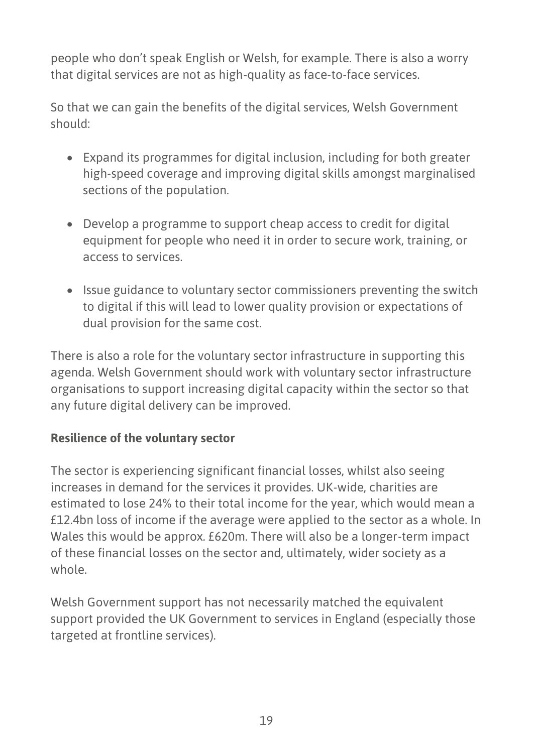people who don't speak English or Welsh, for example. There is also a worry that digital services are not as high-quality as face-to-face services.

So that we can gain the benefits of the digital services, Welsh Government should:

- Expand its programmes for digital inclusion, including for both greater high-speed coverage and improving digital skills amongst marginalised sections of the population.
- Develop a programme to support cheap access to credit for digital equipment for people who need it in order to secure work, training, or access to services.
- Issue guidance to voluntary sector commissioners preventing the switch to digital if this will lead to lower quality provision or expectations of dual provision for the same cost.

There is also a role for the voluntary sector infrastructure in supporting this agenda. Welsh Government should work with voluntary sector infrastructure organisations to support increasing digital capacity within the sector so that any future digital delivery can be improved.

## **Resilience of the voluntary sector**

The sector is experiencing significant financial losses, whilst also seeing increases in demand for the services it provides. UK-wide, charities are estimated to lose 24% to their total income for the year, which would mean a £12.4bn loss of income if the average were applied to the sector as a whole. In Wales this would be approx. £620m. There will also be a longer-term impact of these financial losses on the sector and, ultimately, wider society as a whole.

Welsh Government support has not necessarily matched the equivalent support provided the UK Government to services in England (especially those targeted at frontline services).